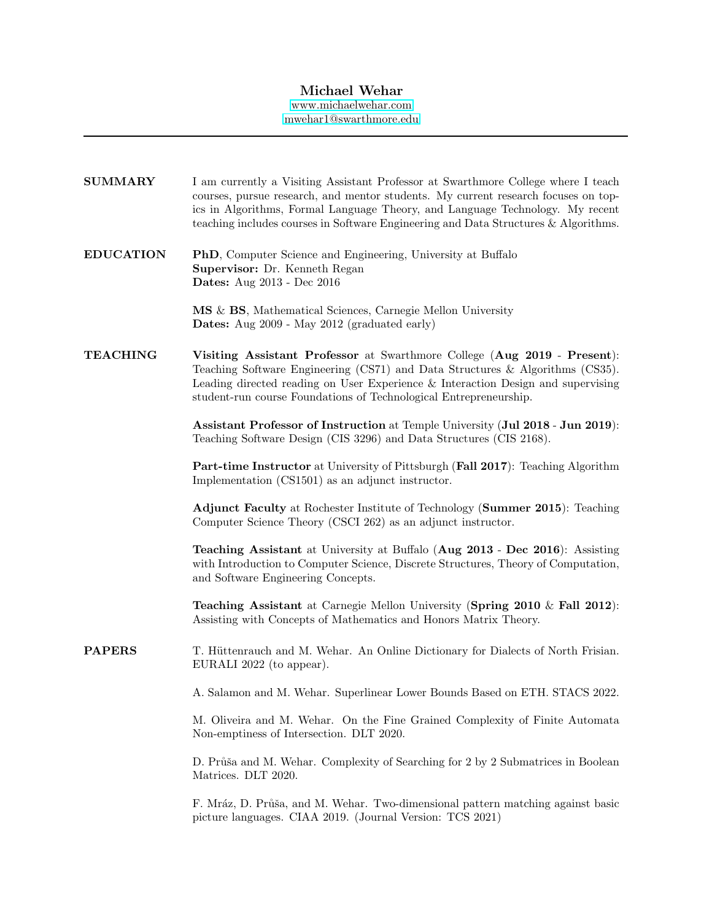# Michael Wehar

[www.michaelwehar.com](http://www.michaelwehar.com) [mwehar1@swarthmore.edu](mailto:mwehar1@swarthmore.edu)

| <b>SUMMARY</b>   | I am currently a Visiting Assistant Professor at Swarthmore College where I teach<br>courses, pursue research, and mentor students. My current research focuses on top-<br>ics in Algorithms, Formal Language Theory, and Language Technology. My recent<br>teaching includes courses in Software Engineering and Data Structures & Algorithms. |
|------------------|-------------------------------------------------------------------------------------------------------------------------------------------------------------------------------------------------------------------------------------------------------------------------------------------------------------------------------------------------|
| <b>EDUCATION</b> | <b>PhD</b> , Computer Science and Engineering, University at Buffalo<br>Supervisor: Dr. Kenneth Regan<br><b>Dates:</b> Aug 2013 - Dec 2016                                                                                                                                                                                                      |
|                  | MS & BS, Mathematical Sciences, Carnegie Mellon University<br><b>Dates:</b> Aug 2009 - May 2012 (graduated early)                                                                                                                                                                                                                               |
| <b>TEACHING</b>  | Visiting Assistant Professor at Swarthmore College (Aug 2019 - Present):<br>Teaching Software Engineering (CS71) and Data Structures & Algorithms (CS35).<br>Leading directed reading on User Experience & Interaction Design and supervising<br>student-run course Foundations of Technological Entrepreneurship.                              |
|                  | Assistant Professor of Instruction at Temple University (Jul 2018 - Jun 2019):<br>Teaching Software Design (CIS 3296) and Data Structures (CIS 2168).                                                                                                                                                                                           |
|                  | Part-time Instructor at University of Pittsburgh (Fall 2017): Teaching Algorithm<br>Implementation (CS1501) as an adjunct instructor.                                                                                                                                                                                                           |
|                  | <b>Adjunct Faculty</b> at Rochester Institute of Technology (Summer 2015): Teaching<br>Computer Science Theory (CSCI 262) as an adjunct instructor.                                                                                                                                                                                             |
|                  | Teaching Assistant at University at Buffalo (Aug 2013 - Dec 2016): Assisting<br>with Introduction to Computer Science, Discrete Structures, Theory of Computation,<br>and Software Engineering Concepts.                                                                                                                                        |
|                  | <b>Teaching Assistant</b> at Carnegie Mellon University (Spring $2010 \&$ Fall $2012$ ):<br>Assisting with Concepts of Mathematics and Honors Matrix Theory.                                                                                                                                                                                    |
| <b>PAPERS</b>    | T. Hüttenrauch and M. Wehar. An Online Dictionary for Dialects of North Frisian.<br>EURALI 2022 (to appear).                                                                                                                                                                                                                                    |
|                  | A. Salamon and M. Wehar. Superlinear Lower Bounds Based on ETH. STACS 2022.                                                                                                                                                                                                                                                                     |
|                  | M. Oliveira and M. Wehar. On the Fine Grained Complexity of Finite Automata<br>Non-emptiness of Intersection. DLT 2020.                                                                                                                                                                                                                         |
|                  | D. Průša and M. Wehar. Complexity of Searching for 2 by 2 Submatrices in Boolean<br>Matrices. DLT 2020.                                                                                                                                                                                                                                         |
|                  | F. Mráz, D. Průša, and M. Wehar. Two-dimensional pattern matching against basic<br>picture languages. CIAA 2019. (Journal Version: TCS 2021)                                                                                                                                                                                                    |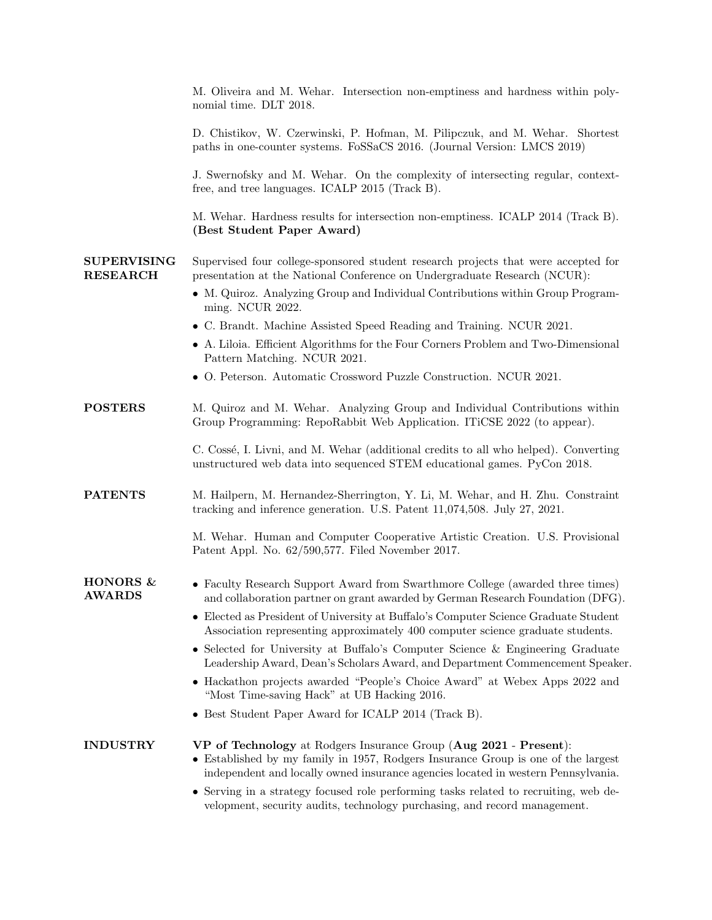|                                       | M. Oliveira and M. Wehar. Intersection non-emptiness and hardness within poly-<br>nomial time. DLT 2018.                                                                                                                                                                                                                         |
|---------------------------------------|----------------------------------------------------------------------------------------------------------------------------------------------------------------------------------------------------------------------------------------------------------------------------------------------------------------------------------|
|                                       | D. Chistikov, W. Czerwinski, P. Hofman, M. Pilipczuk, and M. Wehar. Shortest<br>paths in one-counter systems. FoSSaCS 2016. (Journal Version: LMCS 2019)                                                                                                                                                                         |
|                                       | J. Swernofsky and M. Wehar. On the complexity of intersecting regular, context-<br>free, and tree languages. ICALP 2015 (Track B).                                                                                                                                                                                               |
|                                       | M. Wehar. Hardness results for intersection non-emptiness. ICALP 2014 (Track B).<br>(Best Student Paper Award)                                                                                                                                                                                                                   |
| <b>SUPERVISING</b><br><b>RESEARCH</b> | Supervised four college-sponsored student research projects that were accepted for<br>presentation at the National Conference on Undergraduate Research (NCUR):                                                                                                                                                                  |
|                                       | • M. Quiroz. Analyzing Group and Individual Contributions within Group Program-<br>ming. NCUR 2022.                                                                                                                                                                                                                              |
|                                       | • C. Brandt. Machine Assisted Speed Reading and Training. NCUR 2021.                                                                                                                                                                                                                                                             |
|                                       | • A. Liloia. Efficient Algorithms for the Four Corners Problem and Two-Dimensional<br>Pattern Matching. NCUR 2021.                                                                                                                                                                                                               |
|                                       | • O. Peterson. Automatic Crossword Puzzle Construction. NCUR 2021.                                                                                                                                                                                                                                                               |
| <b>POSTERS</b>                        | M. Quiroz and M. Wehar. Analyzing Group and Individual Contributions within<br>Group Programming: RepoRabbit Web Application. ITiCSE 2022 (to appear).                                                                                                                                                                           |
|                                       | C. Cossé, I. Livni, and M. Wehar (additional credits to all who helped). Converting<br>unstructured web data into sequenced STEM educational games. PyCon 2018.                                                                                                                                                                  |
| <b>PATENTS</b>                        | M. Hailpern, M. Hernandez-Sherrington, Y. Li, M. Wehar, and H. Zhu. Constraint<br>tracking and inference generation. U.S. Patent 11,074,508. July 27, 2021.                                                                                                                                                                      |
|                                       | M. Wehar. Human and Computer Cooperative Artistic Creation. U.S. Provisional<br>Patent Appl. No. 62/590,577. Filed November 2017.                                                                                                                                                                                                |
| <b>HONORS &amp;</b><br><b>AWARDS</b>  | • Faculty Research Support Award from Swarthmore College (awarded three times)<br>and collaboration partner on grant awarded by German Research Foundation (DFG).<br>• Elected as President of University at Buffalo's Computer Science Graduate Student                                                                         |
|                                       | Association representing approximately 400 computer science graduate students.<br>• Selected for University at Buffalo's Computer Science & Engineering Graduate<br>Leadership Award, Dean's Scholars Award, and Department Commencement Speaker.<br>• Hackathon projects awarded "People's Choice Award" at Webex Apps 2022 and |
|                                       | "Most Time-saving Hack" at UB Hacking 2016.                                                                                                                                                                                                                                                                                      |
|                                       | • Best Student Paper Award for ICALP 2014 (Track B).                                                                                                                                                                                                                                                                             |
| <b>INDUSTRY</b>                       | VP of Technology at Rodgers Insurance Group (Aug 2021 - Present):<br>• Established by my family in 1957, Rodgers Insurance Group is one of the largest<br>independent and locally owned insurance agencies located in western Pennsylvania.                                                                                      |
|                                       | • Serving in a strategy focused role performing tasks related to recruiting, web de-<br>velopment, security audits, technology purchasing, and record management.                                                                                                                                                                |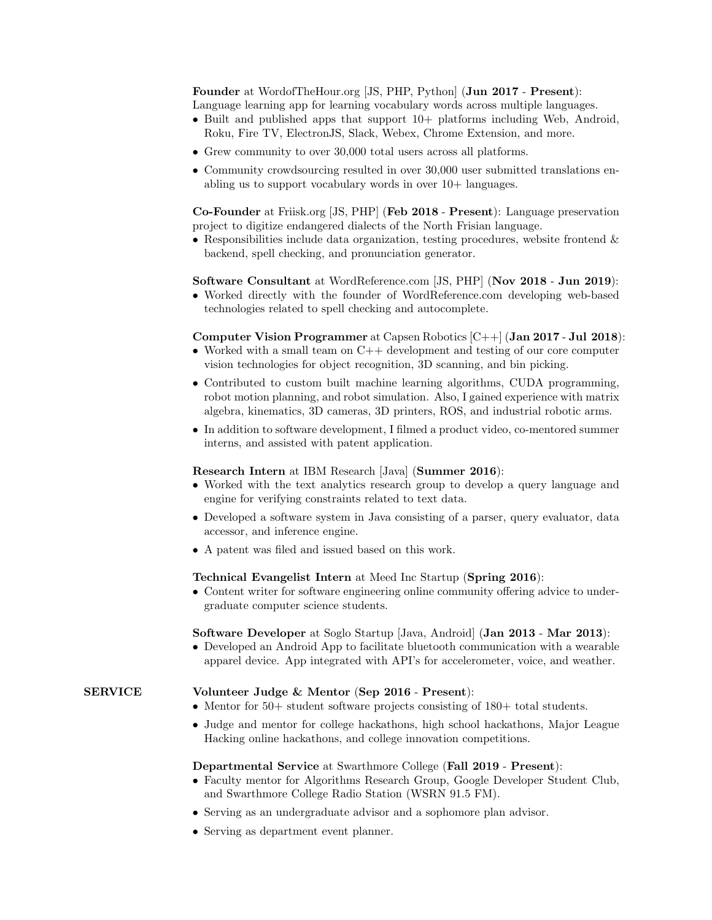Founder at WordofTheHour.org [JS, PHP, Python] (Jun 2017 - Present): Language learning app for learning vocabulary words across multiple languages.

- Built and published apps that support  $10+$  platforms including Web, Android, Roku, Fire TV, ElectronJS, Slack, Webex, Chrome Extension, and more.
- Grew community to over 30,000 total users across all platforms.
- Community crowdsourcing resulted in over 30,000 user submitted translations enabling us to support vocabulary words in over 10+ languages.

Co-Founder at Friisk.org [JS, PHP] (Feb 2018 - Present): Language preservation project to digitize endangered dialects of the North Frisian language.

• Responsibilities include data organization, testing procedures, website frontend  $\&$ backend, spell checking, and pronunciation generator.

#### Software Consultant at WordReference.com [JS, PHP] (Nov 2018 - Jun 2019):

• Worked directly with the founder of WordReference.com developing web-based technologies related to spell checking and autocomplete.

## Computer Vision Programmer at Capsen Robotics [C++] (Jan 2017 - Jul 2018):

- Worked with a small team on C++ development and testing of our core computer vision technologies for object recognition, 3D scanning, and bin picking.
- Contributed to custom built machine learning algorithms, CUDA programming, robot motion planning, and robot simulation. Also, I gained experience with matrix algebra, kinematics, 3D cameras, 3D printers, ROS, and industrial robotic arms.
- In addition to software development, I filmed a product video, co-mentored summer interns, and assisted with patent application.

#### Research Intern at IBM Research [Java] (Summer 2016):

- Worked with the text analytics research group to develop a query language and engine for verifying constraints related to text data.
- Developed a software system in Java consisting of a parser, query evaluator, data accessor, and inference engine.
- A patent was filed and issued based on this work.

### Technical Evangelist Intern at Meed Inc Startup (Spring 2016):

• Content writer for software engineering online community offering advice to undergraduate computer science students.

### Software Developer at Soglo Startup [Java, Android] (Jan 2013 - Mar 2013):

• Developed an Android App to facilitate bluetooth communication with a wearable apparel device. App integrated with API's for accelerometer, voice, and weather.

# SERVICE Volunteer Judge & Mentor (Sep 2016 - Present):

- Mentor for 50+ student software projects consisting of 180+ total students.
- Judge and mentor for college hackathons, high school hackathons, Major League Hacking online hackathons, and college innovation competitions.

#### Departmental Service at Swarthmore College (Fall 2019 - Present):

- Faculty mentor for Algorithms Research Group, Google Developer Student Club, and Swarthmore College Radio Station (WSRN 91.5 FM).
- Serving as an undergraduate advisor and a sophomore plan advisor.
- Serving as department event planner.